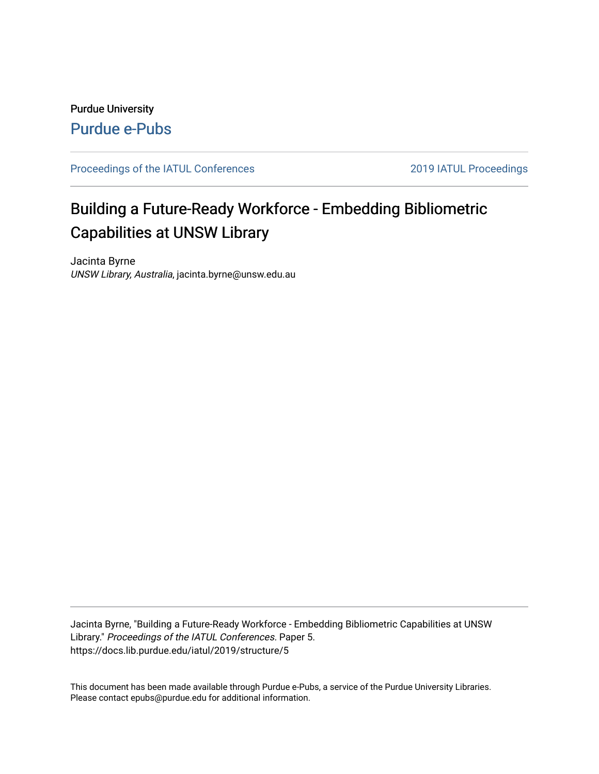# Purdue University [Purdue e-Pubs](https://docs.lib.purdue.edu/)

[Proceedings of the IATUL Conferences](https://docs.lib.purdue.edu/iatul) 2019 2019 IATUL Proceedings

# Building a Future-Ready Workforce - Embedding Bibliometric Capabilities at UNSW Library

Jacinta Byrne UNSW Library, Australia, jacinta.byrne@unsw.edu.au

Jacinta Byrne, "Building a Future-Ready Workforce - Embedding Bibliometric Capabilities at UNSW Library." Proceedings of the IATUL Conferences. Paper 5. https://docs.lib.purdue.edu/iatul/2019/structure/5

This document has been made available through Purdue e-Pubs, a service of the Purdue University Libraries. Please contact epubs@purdue.edu for additional information.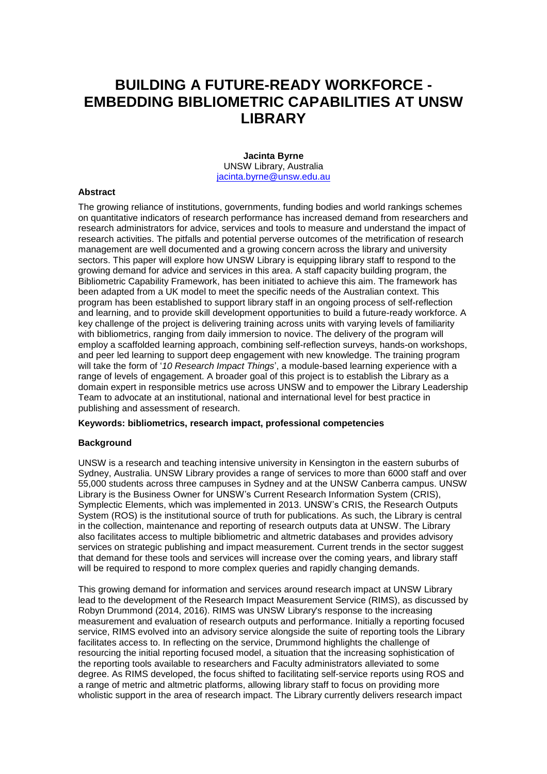# **BUILDING A FUTURE-READY WORKFORCE - EMBEDDING BIBLIOMETRIC CAPABILITIES AT UNSW LIBRARY**

**Jacinta Byrne** UNSW Library, Australia [jacinta.byrne@unsw.edu.au](mailto:jacinta.byrne@unsw.edu.au)

## **Abstract**

The growing reliance of institutions, governments, funding bodies and world rankings schemes on quantitative indicators of research performance has increased demand from researchers and research administrators for advice, services and tools to measure and understand the impact of research activities. The pitfalls and potential perverse outcomes of the metrification of research management are well documented and a growing concern across the library and university sectors. This paper will explore how UNSW Library is equipping library staff to respond to the growing demand for advice and services in this area. A staff capacity building program, the Bibliometric Capability Framework, has been initiated to achieve this aim. The framework has been adapted from a UK model to meet the specific needs of the Australian context. This program has been established to support library staff in an ongoing process of self-reflection and learning, and to provide skill development opportunities to build a future-ready workforce. A key challenge of the project is delivering training across units with varying levels of familiarity with bibliometrics, ranging from daily immersion to novice. The delivery of the program will employ a scaffolded learning approach, combining self-reflection surveys, hands-on workshops, and peer led learning to support deep engagement with new knowledge. The training program will take the form of '*10 Research Impact Things*', a module-based learning experience with a range of levels of engagement. A broader goal of this project is to establish the Library as a domain expert in responsible metrics use across UNSW and to empower the Library Leadership Team to advocate at an institutional, national and international level for best practice in publishing and assessment of research.

#### **Keywords: bibliometrics, research impact, professional competencies**

#### **Background**

UNSW is a research and teaching intensive university in Kensington in the eastern suburbs of Sydney, Australia. UNSW Library provides a range of services to more than 6000 staff and over 55,000 students across three campuses in Sydney and at the UNSW Canberra campus. UNSW Library is the Business Owner for UNSW's Current Research Information System (CRIS), Symplectic Elements, which was implemented in 2013. UNSW's CRIS, the Research Outputs System (ROS) is the institutional source of truth for publications. As such, the Library is central in the collection, maintenance and reporting of research outputs data at UNSW. The Library also facilitates access to multiple bibliometric and altmetric databases and provides advisory services on strategic publishing and impact measurement. Current trends in the sector suggest that demand for these tools and services will increase over the coming years, and library staff will be required to respond to more complex queries and rapidly changing demands.

This growing demand for information and services around research impact at UNSW Library lead to the development of the Research Impact Measurement Service (RIMS), as discussed by Robyn Drummond (2014, 2016). RIMS was UNSW Library's response to the increasing measurement and evaluation of research outputs and performance. Initially a reporting focused service, RIMS evolved into an advisory service alongside the suite of reporting tools the Library facilitates access to. In reflecting on the service, Drummond highlights the challenge of resourcing the initial reporting focused model, a situation that the increasing sophistication of the reporting tools available to researchers and Faculty administrators alleviated to some degree. As RIMS developed, the focus shifted to facilitating self-service reports using ROS and a range of metric and altmetric platforms, allowing library staff to focus on providing more wholistic support in the area of research impact. The Library currently delivers research impact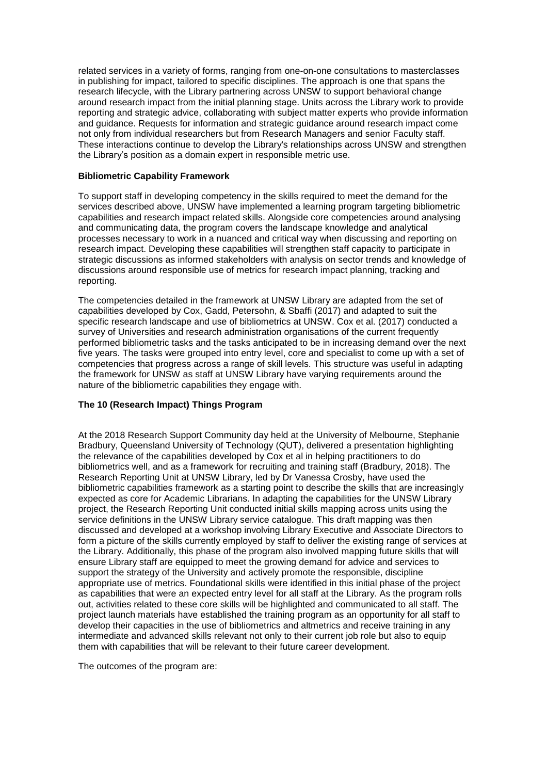related services in a variety of forms, ranging from one-on-one consultations to masterclasses in publishing for impact, tailored to specific disciplines. The approach is one that spans the research lifecycle, with the Library partnering across UNSW to support behavioral change around research impact from the initial planning stage. Units across the Library work to provide reporting and strategic advice, collaborating with subject matter experts who provide information and guidance. Requests for information and strategic guidance around research impact come not only from individual researchers but from Research Managers and senior Faculty staff. These interactions continue to develop the Library's relationships across UNSW and strengthen the Library's position as a domain expert in responsible metric use.

## **Bibliometric Capability Framework**

To support staff in developing competency in the skills required to meet the demand for the services described above, UNSW have implemented a learning program targeting bibliometric capabilities and research impact related skills. Alongside core competencies around analysing and communicating data, the program covers the landscape knowledge and analytical processes necessary to work in a nuanced and critical way when discussing and reporting on research impact. Developing these capabilities will strengthen staff capacity to participate in strategic discussions as informed stakeholders with analysis on sector trends and knowledge of discussions around responsible use of metrics for research impact planning, tracking and reporting.

The competencies detailed in the framework at UNSW Library are adapted from the set of capabilities developed by Cox, Gadd, Petersohn, & Sbaffi (2017) and adapted to suit the specific research landscape and use of bibliometrics at UNSW. Cox et al. (2017) conducted a survey of Universities and research administration organisations of the current frequently performed bibliometric tasks and the tasks anticipated to be in increasing demand over the next five years. The tasks were grouped into entry level, core and specialist to come up with a set of competencies that progress across a range of skill levels. This structure was useful in adapting the framework for UNSW as staff at UNSW Library have varying requirements around the nature of the bibliometric capabilities they engage with.

# **The 10 (Research Impact) Things Program**

At the 2018 Research Support Community day held at the University of Melbourne, Stephanie Bradbury, Queensland University of Technology (QUT), delivered a presentation highlighting the relevance of the capabilities developed by Cox et al in helping practitioners to do bibliometrics well, and as a framework for recruiting and training staff (Bradbury, 2018). The Research Reporting Unit at UNSW Library, led by Dr Vanessa Crosby, have used the bibliometric capabilities framework as a starting point to describe the skills that are increasingly expected as core for Academic Librarians. In adapting the capabilities for the UNSW Library project, the Research Reporting Unit conducted initial skills mapping across units using the service definitions in the UNSW Library service catalogue. This draft mapping was then discussed and developed at a workshop involving Library Executive and Associate Directors to form a picture of the skills currently employed by staff to deliver the existing range of services at the Library. Additionally, this phase of the program also involved mapping future skills that will ensure Library staff are equipped to meet the growing demand for advice and services to support the strategy of the University and actively promote the responsible, discipline appropriate use of metrics. Foundational skills were identified in this initial phase of the project as capabilities that were an expected entry level for all staff at the Library. As the program rolls out, activities related to these core skills will be highlighted and communicated to all staff. The project launch materials have established the training program as an opportunity for all staff to develop their capacities in the use of bibliometrics and altmetrics and receive training in any intermediate and advanced skills relevant not only to their current job role but also to equip them with capabilities that will be relevant to their future career development.

The outcomes of the program are: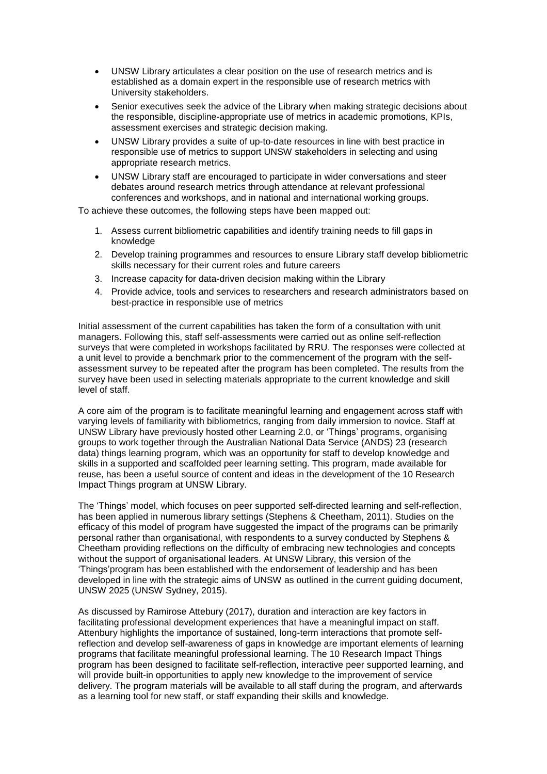- UNSW Library articulates a clear position on the use of research metrics and is established as a domain expert in the responsible use of research metrics with University stakeholders.
- Senior executives seek the advice of the Library when making strategic decisions about the responsible, discipline-appropriate use of metrics in academic promotions, KPIs, assessment exercises and strategic decision making.
- UNSW Library provides a suite of up-to-date resources in line with best practice in responsible use of metrics to support UNSW stakeholders in selecting and using appropriate research metrics.
- UNSW Library staff are encouraged to participate in wider conversations and steer debates around research metrics through attendance at relevant professional conferences and workshops, and in national and international working groups.

To achieve these outcomes, the following steps have been mapped out:

- 1. Assess current bibliometric capabilities and identify training needs to fill gaps in knowledge
- 2. Develop training programmes and resources to ensure Library staff develop bibliometric skills necessary for their current roles and future careers
- 3. Increase capacity for data-driven decision making within the Library
- 4. Provide advice, tools and services to researchers and research administrators based on best-practice in responsible use of metrics

Initial assessment of the current capabilities has taken the form of a consultation with unit managers. Following this, staff self-assessments were carried out as online self-reflection surveys that were completed in workshops facilitated by RRU. The responses were collected at a unit level to provide a benchmark prior to the commencement of the program with the selfassessment survey to be repeated after the program has been completed. The results from the survey have been used in selecting materials appropriate to the current knowledge and skill level of staff.

A core aim of the program is to facilitate meaningful learning and engagement across staff with varying levels of familiarity with bibliometrics, ranging from daily immersion to novice. Staff at UNSW Library have previously hosted other Learning 2.0, or 'Things' programs, organising groups to work together through the Australian National Data Service (ANDS) 23 (research data) things learning program, which was an opportunity for staff to develop knowledge and skills in a supported and scaffolded peer learning setting. This program, made available for reuse, has been a useful source of content and ideas in the development of the 10 Research Impact Things program at UNSW Library.

The 'Things' model, which focuses on peer supported self-directed learning and self-reflection, has been applied in numerous library settings (Stephens & Cheetham, 2011). Studies on the efficacy of this model of program have suggested the impact of the programs can be primarily personal rather than organisational, with respondents to a survey conducted by Stephens & Cheetham providing reflections on the difficulty of embracing new technologies and concepts without the support of organisational leaders. At UNSW Library, this version of the 'Things'program has been established with the endorsement of leadership and has been developed in line with the strategic aims of UNSW as outlined in the current guiding document, UNSW 2025 (UNSW Sydney, 2015).

As discussed by Ramirose Attebury (2017), duration and interaction are key factors in facilitating professional development experiences that have a meaningful impact on staff. Attenbury highlights the importance of sustained, long-term interactions that promote selfreflection and develop self-awareness of gaps in knowledge are important elements of learning programs that facilitate meaningful professional learning. The 10 Research Impact Things program has been designed to facilitate self-reflection, interactive peer supported learning, and will provide built-in opportunities to apply new knowledge to the improvement of service delivery. The program materials will be available to all staff during the program, and afterwards as a learning tool for new staff, or staff expanding their skills and knowledge.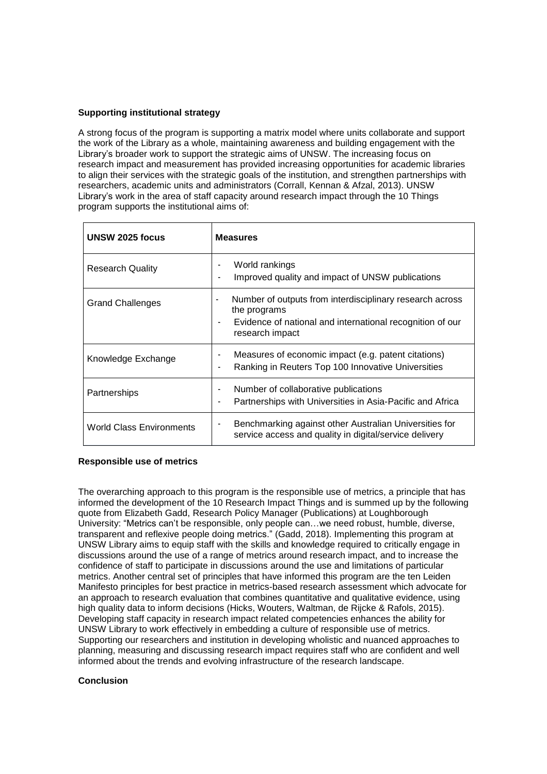# **Supporting institutional strategy**

A strong focus of the program is supporting a matrix model where units collaborate and support the work of the Library as a whole, maintaining awareness and building engagement with the Library's broader work to support the strategic aims of UNSW. The increasing focus on research impact and measurement has provided increasing opportunities for academic libraries to align their services with the strategic goals of the institution, and strengthen partnerships with researchers, academic units and administrators (Corrall, Kennan & Afzal, 2013). UNSW Library's work in the area of staff capacity around research impact through the 10 Things program supports the institutional aims of:

| UNSW 2025 focus          | <b>Measures</b>                                                                                                                                               |
|--------------------------|---------------------------------------------------------------------------------------------------------------------------------------------------------------|
| <b>Research Quality</b>  | World rankings<br>Improved quality and impact of UNSW publications                                                                                            |
| <b>Grand Challenges</b>  | Number of outputs from interdisciplinary research across<br>٠<br>the programs<br>Evidence of national and international recognition of our<br>research impact |
| Knowledge Exchange       | Measures of economic impact (e.g. patent citations)<br>Ranking in Reuters Top 100 Innovative Universities                                                     |
| Partnerships             | Number of collaborative publications<br>Partnerships with Universities in Asia-Pacific and Africa<br>٠                                                        |
| World Class Environments | Benchmarking against other Australian Universities for<br>service access and quality in digital/service delivery                                              |

# **Responsible use of metrics**

The overarching approach to this program is the responsible use of metrics, a principle that has informed the development of the 10 Research Impact Things and is summed up by the following quote from [Elizabeth](https://about.me/elizabeth.gadd) Gadd, Research Policy Manager (Publications) at Loughborough University: "Metrics can't be responsible, only people can…we need robust, humble, diverse, transparent and reflexive people doing metrics." (Gadd, 2018). Implementing this program at UNSW Library aims to equip staff with the skills and knowledge required to critically engage in discussions around the use of a range of metrics around research impact, and to increase the confidence of staff to participate in discussions around the use and limitations of particular metrics. Another central set of principles that have informed this program are the ten Leiden Manifesto principles for best practice in metrics-based research assessment which advocate for an approach to research evaluation that combines quantitative and qualitative evidence, using high quality data to inform decisions (Hicks, Wouters, Waltman, de Rijcke & Rafols, 2015). Developing staff capacity in research impact related competencies enhances the ability for UNSW Library to work effectively in embedding a culture of responsible use of metrics. Supporting our researchers and institution in developing wholistic and nuanced approaches to planning, measuring and discussing research impact requires staff who are confident and well informed about the trends and evolving infrastructure of the research landscape.

#### **Conclusion**